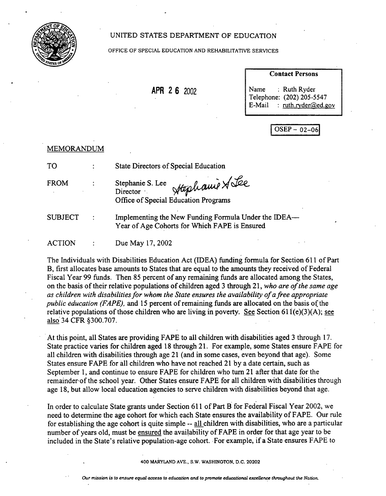

## UNITED STATES DEPARTMENT OF EDUCATION

#### OFFICE OF SPECIAL EDUCATION AND REHABILITATIVE SERVICES

**APR 2 6 2002** 

#### **Contact Persons**

Name Telephone: (202) 205-5547 E-Mail Ruth Ryder ruth.ryder@ed.gov

 $OSEP - 02-06$ 

| <b>MEMORANDUM</b> |                                                                                                       |
|-------------------|-------------------------------------------------------------------------------------------------------|
| <b>TO</b>         | <b>State Directors of Special Education</b>                                                           |
| <b>FROM</b>       | * Hophamie Stee<br>Stephanie S. Lee<br>Director<br>Office of Special Education Programs               |
| <b>SUBJECT</b>    | Implementing the New Funding Formula Under the IDEA—<br>Year of Age Cohorts for Which FAPE is Ensured |
| <b>ACTION</b>     | Due May 17, 2002                                                                                      |

The Individuals with Disabilities Education Act (IDEA) funding formula for Section 611 of Part B, first allocates base amounts to States that are equal to the amounts they received of Federal Fiscal Year 99 funds. Then 85 percent of any remaining funds are allocated among the States, on the basis of their relative populations of children aged 3 through 21, *who are of the same age as children with disabilities for whom the State ensures the availability of a free appropriate public education (FAPE),* and 15 percent of remaining funds are allocated on the basis of the relative populations of those children who are living in poverty. See Section 611(e)(3)(A); see also 34 CFR §300.707.

• At this point, all States are providing FAPE to all children with disabilities aged 3 through 17. State practice varies for children aged 18 through 21. For example, some States ensure FAPE for all children with disabilities through age 21 (and in some cases, even beyond that age). Some States ensure FAPE for all children who have not reached 21 by a date certain, such as September 1, and continue to ensure FAPE for children who turn 21 after that date for the remainder of the school year. Other States ensure FAPE for all children with disabilities through age 18, but allow local education agencies to serve children with disabilities beyond that age.

In order to calculate State grants under Section 611 of Part B for Federal Fiscal Year 2002, we need to determine the age cohort for which each State ensures the availability of FAPE. Our rule for establishing the age cohort is quite simple -- all children with disabilities, who are a particular number of years old, must be ensured the availability of FAPE in order for that age year to be included in the State's relative population-age cohort. For example, if a State ensures FAPE to

400 MARYLAND AVE., S.W. WASHINGTON, D.C. 20202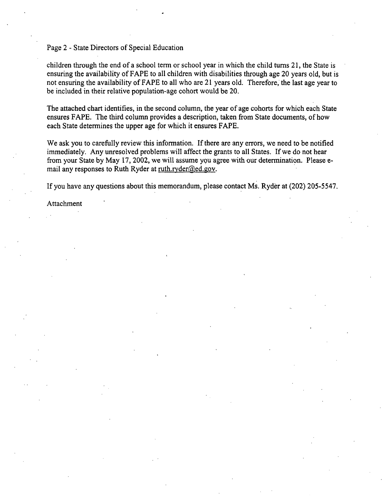### Page 2 - State Directors of Special Education

children through the end of a school term or school year in which the child turns 21, the State is ensuring the availability of FAPE to all children with disabilities through age 20 years old, but is not ensuring the availability of FAPE to all who are 21 years old. Therefore, the last age year to be included in their relative population-age cohort would be 20.

The attached chart identifies, in the second column, the year of age cohorts for which each State ensures FAPE. The third column provides a description, taken from State documents, of how each State determines the upper age for which it ensures FAPE.

We ask you to carefully review this information. If there are any errors, we need to be notified immediately. Any unresolved problems will affect the grants to all States. If we do not hear from your State by May 17, 2002, we will assume you agree with our determination. Please email any responses to Ruth Ryder at ruth.ryder@ed.gov.

If you have any questions about this memorandum, please contact MS. Ryder at (202) 205-5547.

Attachment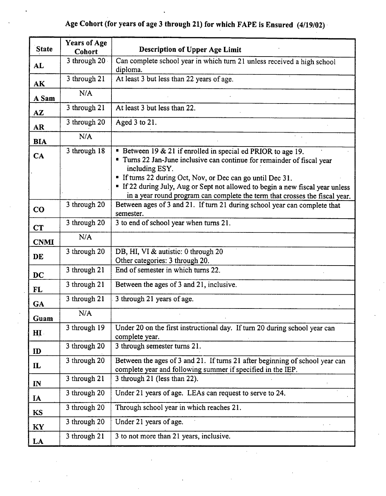# **Age Cohort (for years of age 3 through 21) for which FAPE is Ensured (4/19/02)-**

| <b>State</b>            | <b>Years of Age</b><br><b>Cohort</b> | <b>Description of Upper Age Limit</b>                                                                                                                                                                                                                                                                     |
|-------------------------|--------------------------------------|-----------------------------------------------------------------------------------------------------------------------------------------------------------------------------------------------------------------------------------------------------------------------------------------------------------|
| AL                      | 3 through 20.                        | Can complete school year in which turn 21 unless received a high school<br>diploma.                                                                                                                                                                                                                       |
| AK                      | 3 through 21                         | At least 3 but less than 22 years of age.                                                                                                                                                                                                                                                                 |
| A Sam                   | N/A                                  |                                                                                                                                                                                                                                                                                                           |
| $\mathbf{A} \mathbf{Z}$ | 3 through 21                         | At least 3 but less than 22.                                                                                                                                                                                                                                                                              |
| <b>AR</b>               | 3 through 20                         | Aged 3 to 21.                                                                                                                                                                                                                                                                                             |
| <b>BIA</b>              | N/A                                  |                                                                                                                                                                                                                                                                                                           |
| CA                      | 3 through 18                         | • Between 19 & 21 if enrolled in special ed PRIOR to age 19.<br>• Turns 22 Jan-June inclusive can continue for remainder of fiscal year<br>including ESY.<br>" If turns 22 during Oct, Nov, or Dec can go until Dec 31.<br>" If 22 during July, Aug or Sept not allowed to begin a new fiscal year unless |
|                         |                                      | in a year round program can complete the term that crosses the fiscal year.                                                                                                                                                                                                                               |
| CO                      | 3 through 20                         | Between ages of 3 and 21. If turn 21 during school year can complete that<br>semester.                                                                                                                                                                                                                    |
| CT                      | 3 through 20                         | 3 to end of school year when turns 21.                                                                                                                                                                                                                                                                    |
| <b>CNMI</b>             | N/A                                  |                                                                                                                                                                                                                                                                                                           |
| DE                      | 3 through 20                         | DB, HI, VI & autistic: 0 through 20<br>Other categories: 3 through 20.                                                                                                                                                                                                                                    |
| <b>DC</b>               | 3 through 21                         | End of semester in which turns 22.                                                                                                                                                                                                                                                                        |
| <b>FL</b>               | 3 through 21                         | Between the ages of 3 and 21, inclusive.                                                                                                                                                                                                                                                                  |
| <b>GA</b>               | 3 through 21                         | 3 through 21 years of age.                                                                                                                                                                                                                                                                                |
| Guam                    | N/A                                  |                                                                                                                                                                                                                                                                                                           |
| $\mathbf{H}$            | 3 through 19                         | Under 20 on the first instructional day. If turn 20 during school year can<br>complete year.                                                                                                                                                                                                              |
| ID                      | 3 through 20                         | 3 through semester turns 21.                                                                                                                                                                                                                                                                              |
| $\mathbf{L}$            | 3 through 20                         | Between the ages of 3 and 21. If turns 21 after beginning of school year can<br>complete year and following summer if specified in the IEP.                                                                                                                                                               |
| IN                      | 3 through 21                         | 3 through 21 (less than 22).                                                                                                                                                                                                                                                                              |
| IA                      | 3 through 20                         | Under 21 years of age. LEAs can request to serve to 24.                                                                                                                                                                                                                                                   |
| KS                      | 3 through 20                         | Through school year in which reaches 21.                                                                                                                                                                                                                                                                  |
| KY                      | 3 through 20                         | Under 21 years of age.                                                                                                                                                                                                                                                                                    |
| LA                      | 3 through 21                         | 3 to not more than 21 years, inclusive.                                                                                                                                                                                                                                                                   |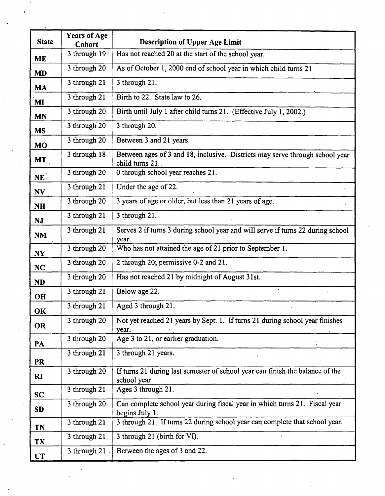| <b>State</b>    | <b>Years of Age</b><br><b>Cohort</b> | <b>Description of Upper Age Limit</b>                                                           |
|-----------------|--------------------------------------|-------------------------------------------------------------------------------------------------|
| <b>ME</b>       | 3 through 19                         | Has not reached 20 at the start of the school year.                                             |
| <b>MD</b>       | 3 through 20                         | As of October 1, 2000 end of school year in which child turns 21                                |
| <b>MA</b>       | 3 through 21                         | 3 through 21.                                                                                   |
| MI              | 3 through 21                         | Birth to 22. State law to 26.                                                                   |
| <b>MN</b>       | 3 through 20                         | Birth until July 1 after child turns 21. (Effective July 1, 2002.)                              |
| <b>MS</b>       | 3 through 20                         | 3 through 20.                                                                                   |
| <b>MO</b>       | 3 through 20                         | Between 3 and 21 years.                                                                         |
| <b>MT</b>       | 3 through 18                         | Between ages of 3 and 18, inclusive. Districts may serve through school year<br>child turns 21. |
| NE <sup>1</sup> | 3 through 20                         | 0 through school year reaches 21.                                                               |
| N V             | 3 through 21                         | Under the age of 22.                                                                            |
| <b>NH</b>       | 3 through 20                         | 3 years of age or older, but less than 21 years of age.                                         |
| <b>NJ</b>       | 3 through 21                         | 3 through 21.                                                                                   |
| <b>NM</b>       | 3 through 21                         | Serves 2 if turns 3 during school year and will serve if turns 22 during school<br>year.        |
| NY              | 3 through 20                         | Who has not attained the age of 21 prior to September 1.                                        |
| NC              | 3 through 20                         | 2 through 20; permissive 0-2 and 21.                                                            |
| <b>ND</b>       | 3 through 20                         | Has not reached 21 by midnight of August 31st.                                                  |
| <b>OH</b>       | 3 through 21                         | Below age 22.                                                                                   |
| OK              | 3 through 21                         | Aged 3 through 21.                                                                              |
| <b>OR</b>       | 3 through 20                         | Not yet reached 21 years by Sept. 1. If turns 21 during school year finishes<br>year.           |
| PA              | 3 through 20                         | Age 3 to 21, or earlier graduation.                                                             |
| <b>PR</b>       | 3 through 21                         | 3 through 21 years.                                                                             |
| RI              | 3 through 20                         | If turns 21 during last semester of school year can finish the balance of the<br>school year    |
| <b>SC</b>       | 3 through 21                         | Ages 3 through 21.                                                                              |
| <b>SD</b>       | 3 through 20                         | Can complete school year during fiscal year in which turns 21. Fiscal year<br>begins July 1.    |
| <b>TN</b>       | 3 through 21                         | 3 through 21. If turns 22 during school year can complete that school year.                     |
| <b>TX</b>       | 3 through 21                         | 3 through 21 (birth for VI).                                                                    |
| <b>UT</b>       | 3 through 21                         | Between the ages of 3 and 22.                                                                   |

 $\frac{1}{2}$ 

 $\sim$   $\sim$